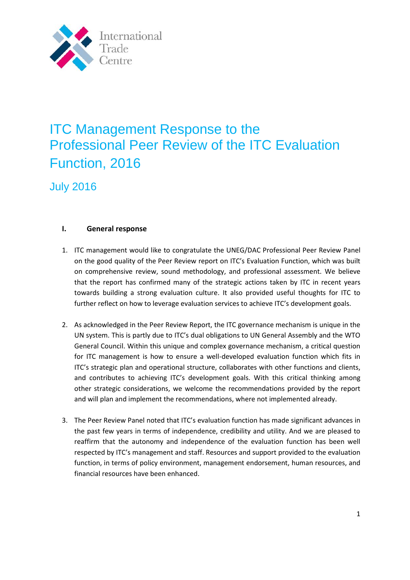

## ITC Management Response to the Professional Peer Review of the ITC Evaluation Function, 2016

July 2016

## **I. General response**

- 1. ITC management would like to congratulate the UNEG/DAC Professional Peer Review Panel on the good quality of the Peer Review report on ITC's Evaluation Function, which was built on comprehensive review, sound methodology, and professional assessment. We believe that the report has confirmed many of the strategic actions taken by ITC in recent years towards building a strong evaluation culture. It also provided useful thoughts for ITC to further reflect on how to leverage evaluation services to achieve ITC's development goals.
- 2. As acknowledged in the Peer Review Report, the ITC governance mechanism is unique in the UN system. This is partly due to ITC's dual obligations to UN General Assembly and the WTO General Council. Within this unique and complex governance mechanism, a critical question for ITC management is how to ensure a well-developed evaluation function which fits in ITC's strategic plan and operational structure, collaborates with other functions and clients, and contributes to achieving ITC's development goals. With this critical thinking among other strategic considerations, we welcome the recommendations provided by the report and will plan and implement the recommendations, where not implemented already.
- 3. The Peer Review Panel noted that ITC's evaluation function has made significant advances in the past few years in terms of independence, credibility and utility. And we are pleased to reaffirm that the autonomy and independence of the evaluation function has been well respected by ITC's management and staff. Resources and support provided to the evaluation function, in terms of policy environment, management endorsement, human resources, and financial resources have been enhanced.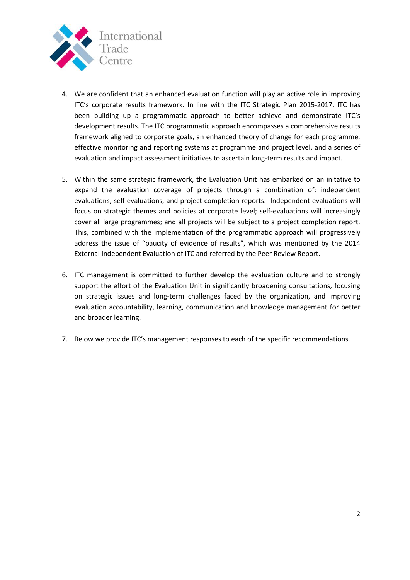

- 4. We are confident that an enhanced evaluation function will play an active role in improving ITC's corporate results framework. In line with the ITC Strategic Plan 2015-2017, ITC has been building up a programmatic approach to better achieve and demonstrate ITC's development results. The ITC programmatic approach encompasses a comprehensive results framework aligned to corporate goals, an enhanced theory of change for each programme, effective monitoring and reporting systems at programme and project level, and a series of evaluation and impact assessment initiatives to ascertain long-term results and impact.
- 5. Within the same strategic framework, the Evaluation Unit has embarked on an initative to expand the evaluation coverage of projects through a combination of: independent evaluations, self-evaluations, and project completion reports. Independent evaluations will focus on strategic themes and policies at corporate level; self-evaluations will increasingly cover all large programmes; and all projects will be subject to a project completion report. This, combined with the implementation of the programmatic approach will progressively address the issue of "paucity of evidence of results", which was mentioned by the 2014 External Independent Evaluation of ITC and referred by the Peer Review Report.
- 6. ITC management is committed to further develop the evaluation culture and to strongly support the effort of the Evaluation Unit in significantly broadening consultations, focusing on strategic issues and long-term challenges faced by the organization, and improving evaluation accountability, learning, communication and knowledge management for better and broader learning.
- 7. Below we provide ITC's management responses to each of the specific recommendations.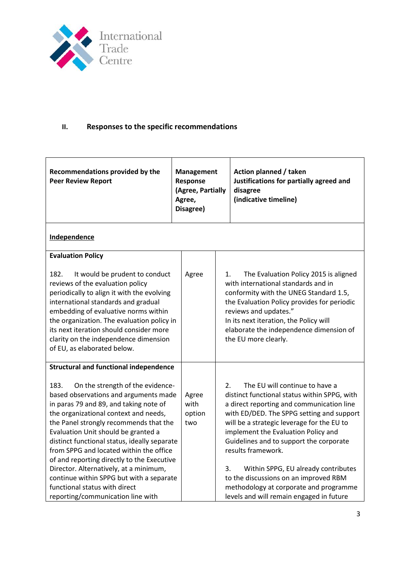

## **II. Responses to the specific recommendations**

| Recommendations provided by the<br><b>Peer Review Report</b>                                                                                                                                                                                                                                                                                                                                                                                                                                                                                               | <b>Management</b><br>Response<br>(Agree, Partially<br>Agree,<br>Disagree) |          | Action planned / taken<br>Justifications for partially agreed and<br>disagree<br>(indicative timeline)                                                                                                                                                                                                                                                                                                                                                                                               |
|------------------------------------------------------------------------------------------------------------------------------------------------------------------------------------------------------------------------------------------------------------------------------------------------------------------------------------------------------------------------------------------------------------------------------------------------------------------------------------------------------------------------------------------------------------|---------------------------------------------------------------------------|----------|------------------------------------------------------------------------------------------------------------------------------------------------------------------------------------------------------------------------------------------------------------------------------------------------------------------------------------------------------------------------------------------------------------------------------------------------------------------------------------------------------|
| Independence                                                                                                                                                                                                                                                                                                                                                                                                                                                                                                                                               |                                                                           |          |                                                                                                                                                                                                                                                                                                                                                                                                                                                                                                      |
| <b>Evaluation Policy</b>                                                                                                                                                                                                                                                                                                                                                                                                                                                                                                                                   |                                                                           |          |                                                                                                                                                                                                                                                                                                                                                                                                                                                                                                      |
| 182.<br>It would be prudent to conduct<br>reviews of the evaluation policy<br>periodically to align it with the evolving<br>international standards and gradual<br>embedding of evaluative norms within<br>the organization. The evaluation policy in<br>its next iteration should consider more<br>clarity on the independence dimension<br>of EU, as elaborated below.                                                                                                                                                                                   | Agree                                                                     | 1.       | The Evaluation Policy 2015 is aligned<br>with international standards and in<br>conformity with the UNEG Standard 1.5,<br>the Evaluation Policy provides for periodic<br>reviews and updates."<br>In its next iteration, the Policy will<br>elaborate the independence dimension of<br>the EU more clearly.                                                                                                                                                                                          |
| <b>Structural and functional independence</b>                                                                                                                                                                                                                                                                                                                                                                                                                                                                                                              |                                                                           |          |                                                                                                                                                                                                                                                                                                                                                                                                                                                                                                      |
| 183.<br>On the strength of the evidence-<br>based observations and arguments made<br>in paras 79 and 89, and taking note of<br>the organizational context and needs,<br>the Panel strongly recommends that the<br>Evaluation Unit should be granted a<br>distinct functional status, ideally separate<br>from SPPG and located within the office<br>of and reporting directly to the Executive<br>Director. Alternatively, at a minimum,<br>continue within SPPG but with a separate<br>functional status with direct<br>reporting/communication line with | Agree<br>with<br>option<br>two                                            | 2.<br>3. | The EU will continue to have a<br>distinct functional status within SPPG, with<br>a direct reporting and communication line<br>with ED/DED. The SPPG setting and support<br>will be a strategic leverage for the EU to<br>implement the Evaluation Policy and<br>Guidelines and to support the corporate<br>results framework.<br>Within SPPG, EU already contributes<br>to the discussions on an improved RBM<br>methodology at corporate and programme<br>levels and will remain engaged in future |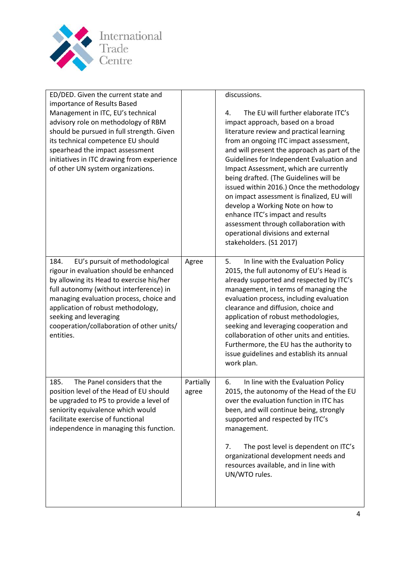

| ED/DED. Given the current state and<br>importance of Results Based<br>Management in ITC, EU's technical<br>advisory role on methodology of RBM<br>should be pursued in full strength. Given<br>its technical competence EU should<br>spearhead the impact assessment<br>initiatives in ITC drawing from experience<br>of other UN system organizations. |                    | discussions.<br>The EU will further elaborate ITC's<br>4.<br>impact approach, based on a broad<br>literature review and practical learning<br>from an ongoing ITC impact assessment,<br>and will present the approach as part of the<br>Guidelines for Independent Evaluation and<br>Impact Assessment, which are currently<br>being drafted. (The Guidelines will be<br>issued within 2016.) Once the methodology<br>on impact assessment is finalized, EU will<br>develop a Working Note on how to<br>enhance ITC's impact and results<br>assessment through collaboration with<br>operational divisions and external<br>stakeholders. (S1 2017) |
|---------------------------------------------------------------------------------------------------------------------------------------------------------------------------------------------------------------------------------------------------------------------------------------------------------------------------------------------------------|--------------------|----------------------------------------------------------------------------------------------------------------------------------------------------------------------------------------------------------------------------------------------------------------------------------------------------------------------------------------------------------------------------------------------------------------------------------------------------------------------------------------------------------------------------------------------------------------------------------------------------------------------------------------------------|
| EU's pursuit of methodological<br>184.<br>rigour in evaluation should be enhanced<br>by allowing its Head to exercise his/her<br>full autonomy (without interference) in<br>managing evaluation process, choice and<br>application of robust methodology,<br>seeking and leveraging<br>cooperation/collaboration of other units/<br>entities.           | Agree              | In line with the Evaluation Policy<br>5.<br>2015, the full autonomy of EU's Head is<br>already supported and respected by ITC's<br>management, in terms of managing the<br>evaluation process, including evaluation<br>clearance and diffusion, choice and<br>application of robust methodologies,<br>seeking and leveraging cooperation and<br>collaboration of other units and entities.<br>Furthermore, the EU has the authority to<br>issue guidelines and establish its annual<br>work plan.                                                                                                                                                  |
| 185.<br>The Panel considers that the<br>position level of the Head of EU should<br>be upgraded to P5 to provide a level of<br>seniority equivalence which would<br>facilitate exercise of functional<br>independence in managing this function.                                                                                                         | Partially<br>agree | In line with the Evaluation Policy<br>6.<br>2015, the autonomy of the Head of the EU<br>over the evaluation function in ITC has<br>been, and will continue being, strongly<br>supported and respected by ITC's<br>management.<br>The post level is dependent on ITC's<br>7.<br>organizational development needs and<br>resources available, and in line with<br>UN/WTO rules.                                                                                                                                                                                                                                                                      |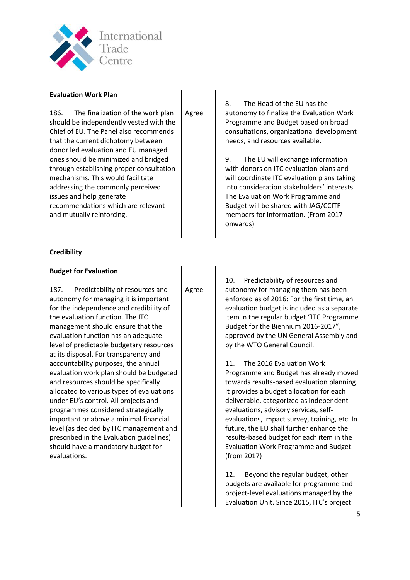

| <b>Evaluation Work Plan</b>                                                                                                                                                                                                                                                                                                                                                                                                                                                                                                                                                                                                                                                                                                                                                   |       |                                                                                                                                                                                                                                                                                                                                                                                                                                                                                                                                                                                                                                                                                                                                                                                                        |
|-------------------------------------------------------------------------------------------------------------------------------------------------------------------------------------------------------------------------------------------------------------------------------------------------------------------------------------------------------------------------------------------------------------------------------------------------------------------------------------------------------------------------------------------------------------------------------------------------------------------------------------------------------------------------------------------------------------------------------------------------------------------------------|-------|--------------------------------------------------------------------------------------------------------------------------------------------------------------------------------------------------------------------------------------------------------------------------------------------------------------------------------------------------------------------------------------------------------------------------------------------------------------------------------------------------------------------------------------------------------------------------------------------------------------------------------------------------------------------------------------------------------------------------------------------------------------------------------------------------------|
| 186.<br>The finalization of the work plan<br>should be independently vested with the<br>Chief of EU. The Panel also recommends<br>that the current dichotomy between<br>donor led evaluation and EU managed<br>ones should be minimized and bridged<br>through establishing proper consultation<br>mechanisms. This would facilitate<br>addressing the commonly perceived<br>issues and help generate<br>recommendations which are relevant<br>and mutually reinforcing.                                                                                                                                                                                                                                                                                                      | Agree | The Head of the EU has the<br>8.<br>autonomy to finalize the Evaluation Work<br>Programme and Budget based on broad<br>consultations, organizational development<br>needs, and resources available.<br>The EU will exchange information<br>9.<br>with donors on ITC evaluation plans and<br>will coordinate ITC evaluation plans taking<br>into consideration stakeholders' interests.<br>The Evaluation Work Programme and<br>Budget will be shared with JAG/CCITF<br>members for information. (From 2017<br>onwards)                                                                                                                                                                                                                                                                                 |
| <b>Credibility</b>                                                                                                                                                                                                                                                                                                                                                                                                                                                                                                                                                                                                                                                                                                                                                            |       |                                                                                                                                                                                                                                                                                                                                                                                                                                                                                                                                                                                                                                                                                                                                                                                                        |
| <b>Budget for Evaluation</b>                                                                                                                                                                                                                                                                                                                                                                                                                                                                                                                                                                                                                                                                                                                                                  |       |                                                                                                                                                                                                                                                                                                                                                                                                                                                                                                                                                                                                                                                                                                                                                                                                        |
| 187.<br>Predictability of resources and<br>autonomy for managing it is important<br>for the independence and credibility of<br>the evaluation function. The ITC<br>management should ensure that the<br>evaluation function has an adequate<br>level of predictable budgetary resources<br>at its disposal. For transparency and<br>accountability purposes, the annual<br>evaluation work plan should be budgeted<br>and resources should be specifically<br>allocated to various types of evaluations<br>under EU's control. All projects and<br>programmes considered strategically<br>important or above a minimal financial<br>level (as decided by ITC management and<br>prescribed in the Evaluation guidelines)<br>should have a mandatory budget for<br>evaluations. | Agree | 10.<br>Predictability of resources and<br>autonomy for managing them has been<br>enforced as of 2016: For the first time, an<br>evaluation budget is included as a separate<br>item in the regular budget "ITC Programme<br>Budget for the Biennium 2016-2017",<br>approved by the UN General Assembly and<br>by the WTO General Council.<br>The 2016 Evaluation Work<br>11.<br>Programme and Budget has already moved<br>towards results-based evaluation planning.<br>It provides a budget allocation for each<br>deliverable, categorized as independent<br>evaluations, advisory services, self-<br>evaluations, impact survey, training, etc. In<br>future, the EU shall further enhance the<br>results-based budget for each item in the<br>Evaluation Work Programme and Budget.<br>(from 2017) |
|                                                                                                                                                                                                                                                                                                                                                                                                                                                                                                                                                                                                                                                                                                                                                                               |       | 12.<br>Beyond the regular budget, other<br>budgets are available for programme and<br>project-level evaluations managed by the<br>Evaluation Unit. Since 2015, ITC's project                                                                                                                                                                                                                                                                                                                                                                                                                                                                                                                                                                                                                           |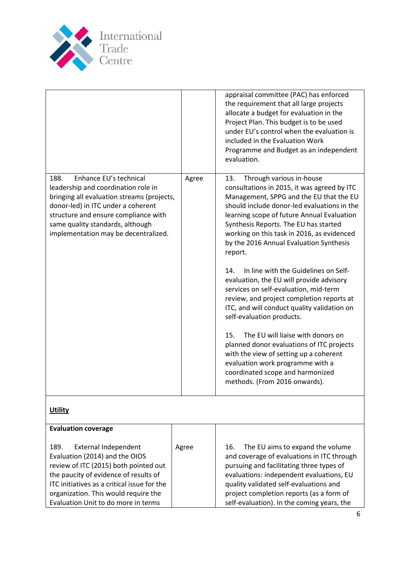

Evaluation Unit to do more in terms

|                                                                                                                                                                                                                                                                               |       | appraisal committee (PAC) has enforced<br>the requirement that all large projects<br>allocate a budget for evaluation in the<br>Project Plan. This budget is to be used<br>under EU's control when the evaluation is<br>included in the Evaluation Work<br>Programme and Budget as an independent<br>evaluation.                                                                                                                                                                                                                                                                                                                                                                                                                                                                                                                                                             |
|-------------------------------------------------------------------------------------------------------------------------------------------------------------------------------------------------------------------------------------------------------------------------------|-------|------------------------------------------------------------------------------------------------------------------------------------------------------------------------------------------------------------------------------------------------------------------------------------------------------------------------------------------------------------------------------------------------------------------------------------------------------------------------------------------------------------------------------------------------------------------------------------------------------------------------------------------------------------------------------------------------------------------------------------------------------------------------------------------------------------------------------------------------------------------------------|
| 188.<br>Enhance EU's technical<br>leadership and coordination role in<br>bringing all evaluation streams (projects,<br>donor-led) in ITC under a coherent<br>structure and ensure compliance with<br>same quality standards, although<br>implementation may be decentralized. | Agree | Through various in-house<br>13.<br>consultations in 2015, it was agreed by ITC<br>Management, SPPG and the EU that the EU<br>should include donor-led evaluations in the<br>learning scope of future Annual Evaluation<br>Synthesis Reports. The EU has started<br>working on this task in 2016, as evidenced<br>by the 2016 Annual Evaluation Synthesis<br>report.<br>In line with the Guidelines on Self-<br>14.<br>evaluation, the EU will provide advisory<br>services on self-evaluation, mid-term<br>review, and project completion reports at<br>ITC, and will conduct quality validation on<br>self-evaluation products.<br>The EU will liaise with donors on<br>15.<br>planned donor evaluations of ITC projects<br>with the view of setting up a coherent<br>evaluation work programme with a<br>coordinated scope and harmonized<br>methods. (From 2016 onwards). |
| <b>Utility</b>                                                                                                                                                                                                                                                                |       |                                                                                                                                                                                                                                                                                                                                                                                                                                                                                                                                                                                                                                                                                                                                                                                                                                                                              |
| <b>Evaluation coverage</b>                                                                                                                                                                                                                                                    |       |                                                                                                                                                                                                                                                                                                                                                                                                                                                                                                                                                                                                                                                                                                                                                                                                                                                                              |
| 189.<br><b>External Independent</b><br>Evaluation (2014) and the OIOS<br>review of ITC (2015) both pointed out<br>the paucity of evidence of results of<br>ITC initiatives as a critical issue for the<br>organization. This would require the                                | Agree | The EU aims to expand the volume<br>16.<br>and coverage of evaluations in ITC through<br>pursuing and facilitating three types of<br>evaluations: independent evaluations, EU<br>quality validated self-evaluations and<br>project completion reports (as a form of                                                                                                                                                                                                                                                                                                                                                                                                                                                                                                                                                                                                          |

self-evaluation). In the coming years, the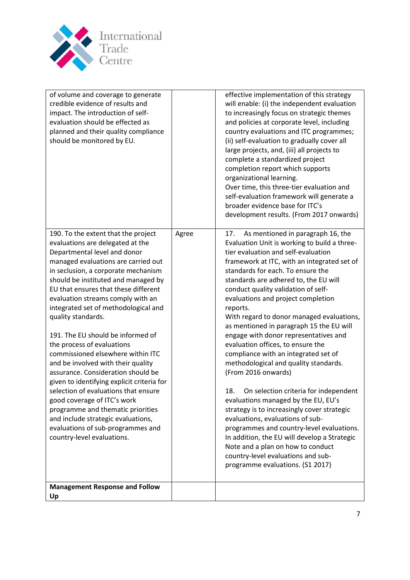

| of volume and coverage to generate<br>credible evidence of results and<br>impact. The introduction of self-<br>evaluation should be effected as<br>planned and their quality compliance<br>should be monitored by EU.                                                                                                                                                                                                                                                                                                                                                                                                                                                                                                                                                                                                          |       | effective implementation of this strategy<br>will enable: (i) the independent evaluation<br>to increasingly focus on strategic themes<br>and policies at corporate level, including<br>country evaluations and ITC programmes;<br>(ii) self-evaluation to gradually cover all<br>large projects, and, (iii) all projects to<br>complete a standardized project<br>completion report which supports<br>organizational learning.<br>Over time, this three-tier evaluation and<br>self-evaluation framework will generate a<br>broader evidence base for ITC's<br>development results. (From 2017 onwards)                                                                                                                                                                                                                                                                                                                                                                                                                    |
|--------------------------------------------------------------------------------------------------------------------------------------------------------------------------------------------------------------------------------------------------------------------------------------------------------------------------------------------------------------------------------------------------------------------------------------------------------------------------------------------------------------------------------------------------------------------------------------------------------------------------------------------------------------------------------------------------------------------------------------------------------------------------------------------------------------------------------|-------|----------------------------------------------------------------------------------------------------------------------------------------------------------------------------------------------------------------------------------------------------------------------------------------------------------------------------------------------------------------------------------------------------------------------------------------------------------------------------------------------------------------------------------------------------------------------------------------------------------------------------------------------------------------------------------------------------------------------------------------------------------------------------------------------------------------------------------------------------------------------------------------------------------------------------------------------------------------------------------------------------------------------------|
| 190. To the extent that the project<br>evaluations are delegated at the<br>Departmental level and donor<br>managed evaluations are carried out<br>in seclusion, a corporate mechanism<br>should be instituted and managed by<br>EU that ensures that these different<br>evaluation streams comply with an<br>integrated set of methodological and<br>quality standards.<br>191. The EU should be informed of<br>the process of evaluations<br>commissioned elsewhere within ITC<br>and be involved with their quality<br>assurance. Consideration should be<br>given to identifying explicit criteria for<br>selection of evaluations that ensure<br>good coverage of ITC's work<br>programme and thematic priorities<br>and include strategic evaluations,<br>evaluations of sub-programmes and<br>country-level evaluations. | Agree | As mentioned in paragraph 16, the<br>17.<br>Evaluation Unit is working to build a three-<br>tier evaluation and self-evaluation<br>framework at ITC, with an integrated set of<br>standards for each. To ensure the<br>standards are adhered to, the EU will<br>conduct quality validation of self-<br>evaluations and project completion<br>reports.<br>With regard to donor managed evaluations,<br>as mentioned in paragraph 15 the EU will<br>engage with donor representatives and<br>evaluation offices, to ensure the<br>compliance with an integrated set of<br>methodological and quality standards.<br>(From 2016 onwards)<br>18.<br>On selection criteria for independent<br>evaluations managed by the EU, EU's<br>strategy is to increasingly cover strategic<br>evaluations, evaluations of sub-<br>programmes and country-level evaluations.<br>In addition, the EU will develop a Strategic<br>Note and a plan on how to conduct<br>country-level evaluations and sub-<br>programme evaluations. (S1 2017) |
| <b>Management Response and Follow</b><br>Up                                                                                                                                                                                                                                                                                                                                                                                                                                                                                                                                                                                                                                                                                                                                                                                    |       |                                                                                                                                                                                                                                                                                                                                                                                                                                                                                                                                                                                                                                                                                                                                                                                                                                                                                                                                                                                                                            |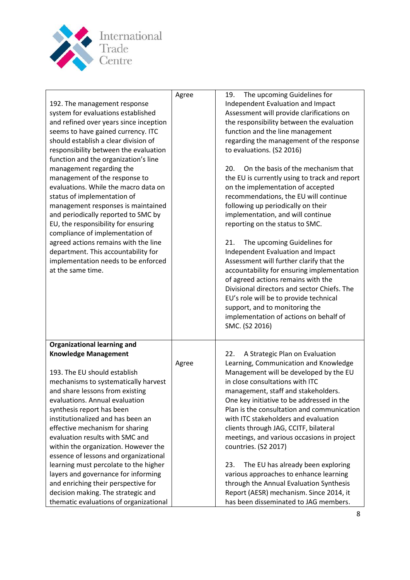

|                                        | Agree | The upcoming Guidelines for<br>19.            |
|----------------------------------------|-------|-----------------------------------------------|
| 192. The management response           |       | Independent Evaluation and Impact             |
| system for evaluations established     |       | Assessment will provide clarifications on     |
| and refined over years since inception |       | the responsibility between the evaluation     |
| seems to have gained currency. ITC     |       | function and the line management              |
| should establish a clear division of   |       | regarding the management of the response      |
| responsibility between the evaluation  |       | to evaluations. (S2 2016)                     |
| function and the organization's line   |       |                                               |
| management regarding the               |       | On the basis of the mechanism that<br>20.     |
| management of the response to          |       | the EU is currently using to track and report |
| evaluations. While the macro data on   |       | on the implementation of accepted             |
| status of implementation of            |       | recommendations, the EU will continue         |
| management responses is maintained     |       | following up periodically on their            |
| and periodically reported to SMC by    |       | implementation, and will continue             |
| EU, the responsibility for ensuring    |       | reporting on the status to SMC.               |
| compliance of implementation of        |       |                                               |
| agreed actions remains with the line   |       | The upcoming Guidelines for<br>21.            |
| department. This accountability for    |       | Independent Evaluation and Impact             |
| implementation needs to be enforced    |       | Assessment will further clarify that the      |
| at the same time.                      |       | accountability for ensuring implementation    |
|                                        |       | of agreed actions remains with the            |
|                                        |       | Divisional directors and sector Chiefs. The   |
|                                        |       | EU's role will be to provide technical        |
|                                        |       | support, and to monitoring the                |
|                                        |       | implementation of actions on behalf of        |
|                                        |       | SMC. (S2 2016)                                |
| <b>Organizational learning and</b>     |       |                                               |
| <b>Knowledge Management</b>            |       | 22.<br>A Strategic Plan on Evaluation         |
|                                        | Agree | Learning, Communication and Knowledge         |
| 193. The EU should establish           |       | Management will be developed by the EU        |
| mechanisms to systematically harvest   |       | in close consultations with ITC               |
| and share lessons from existing        |       | management, staff and stakeholders.           |
| evaluations. Annual evaluation         |       | One key initiative to be addressed in the     |
| synthesis report has been              |       | Plan is the consultation and communication    |
| institutionalized and has been an      |       | with ITC stakeholders and evaluation          |
| effective mechanism for sharing        |       | clients through JAG, CCITF, bilateral         |
| evaluation results with SMC and        |       | meetings, and various occasions in project    |
| within the organization. However the   |       | countries. (S2 2017)                          |
| essence of lessons and organizational  |       |                                               |
| learning must percolate to the higher  |       | The EU has already been exploring<br>23.      |
| layers and governance for informing    |       | various approaches to enhance learning        |
| and enriching their perspective for    |       | through the Annual Evaluation Synthesis       |
| decision making. The strategic and     |       | Report (AESR) mechanism. Since 2014, it       |
| thematic evaluations of organizational |       | has been disseminated to JAG members.         |